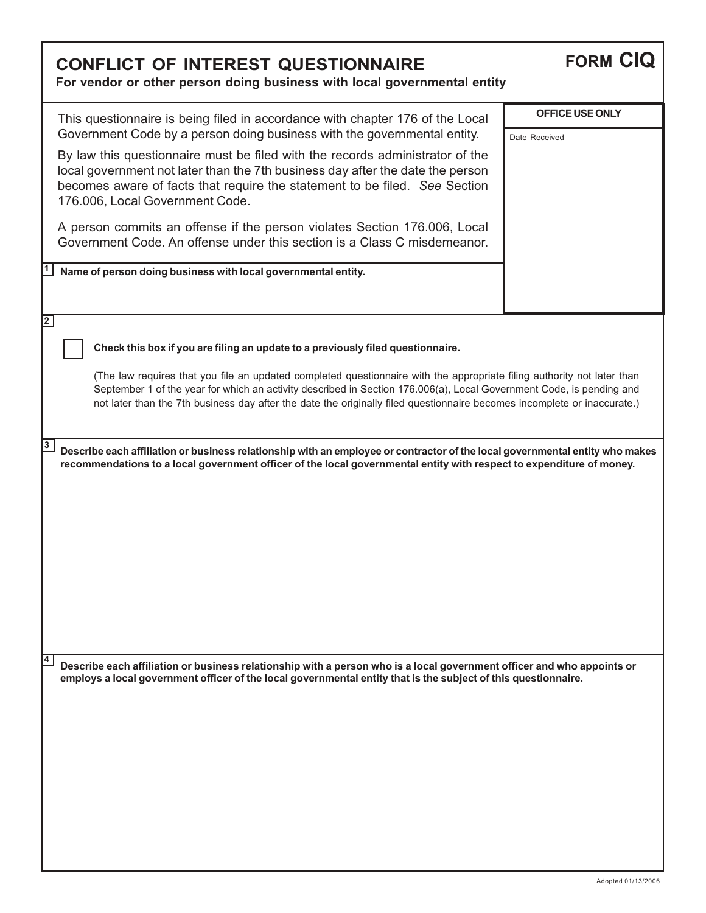| <b>CONFLICT OF INTEREST QUESTIONNAIRE</b><br>For vendor or other person doing business with local governmental entity                                                                                                                                                                                                                                                                                                                                                                                                                                                                                                                                                                                                                         | <b>FORM CIQ</b>                         |
|-----------------------------------------------------------------------------------------------------------------------------------------------------------------------------------------------------------------------------------------------------------------------------------------------------------------------------------------------------------------------------------------------------------------------------------------------------------------------------------------------------------------------------------------------------------------------------------------------------------------------------------------------------------------------------------------------------------------------------------------------|-----------------------------------------|
| This questionnaire is being filed in accordance with chapter 176 of the Local<br>Government Code by a person doing business with the governmental entity.<br>By law this questionnaire must be filed with the records administrator of the<br>local government not later than the 7th business day after the date the person<br>becomes aware of facts that require the statement to be filed. See Section<br>176.006, Local Government Code.<br>A person commits an offense if the person violates Section 176.006, Local<br>Government Code. An offense under this section is a Class C misdemeanor.<br>Name of person doing business with local governmental entity.                                                                       | <b>OFFICE USE ONLY</b><br>Date Received |
| $\overline{2}$<br>Check this box if you are filing an update to a previously filed questionnaire.<br>(The law requires that you file an updated completed questionnaire with the appropriate filing authority not later than<br>September 1 of the year for which an activity described in Section 176.006(a), Local Government Code, is pending and<br>not later than the 7th business day after the date the originally filed questionnaire becomes incomplete or inaccurate.)<br>3<br>Describe each affiliation or business relationship with an employee or contractor of the local governmental entity who makes<br>recommendations to a local government officer of the local governmental entity with respect to expenditure of money. |                                         |
| $\overline{4}$<br>Describe each affiliation or business relationship with a person who is a local government officer and who appoints or<br>employs a local government officer of the local governmental entity that is the subject of this questionnaire.                                                                                                                                                                                                                                                                                                                                                                                                                                                                                    |                                         |